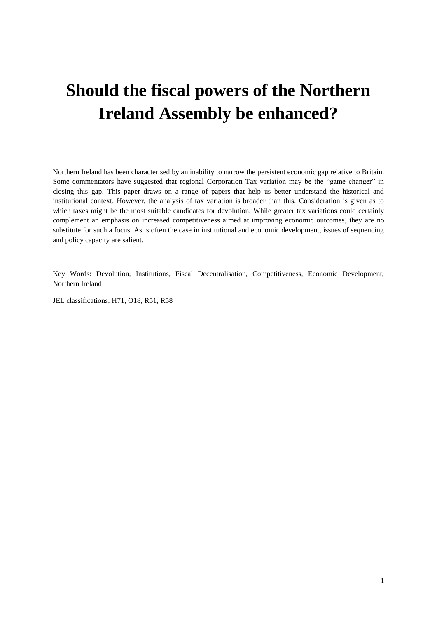# **Should the fiscal powers of the Northern Ireland Assembly be enhanced?**

Northern Ireland has been characterised by an inability to narrow the persistent economic gap relative to Britain. Some commentators have suggested that regional Corporation Tax variation may be the "game changer" in closing this gap. This paper draws on a range of papers that help us better understand the historical and institutional context. However, the analysis of tax variation is broader than this. Consideration is given as to which taxes might be the most suitable candidates for devolution. While greater tax variations could certainly complement an emphasis on increased competitiveness aimed at improving economic outcomes, they are no substitute for such a focus. As is often the case in institutional and economic development, issues of sequencing and policy capacity are salient.

Key Words: Devolution, Institutions, Fiscal Decentralisation, Competitiveness, Economic Development, Northern Ireland

JEL classifications: H71, O18, R51, R58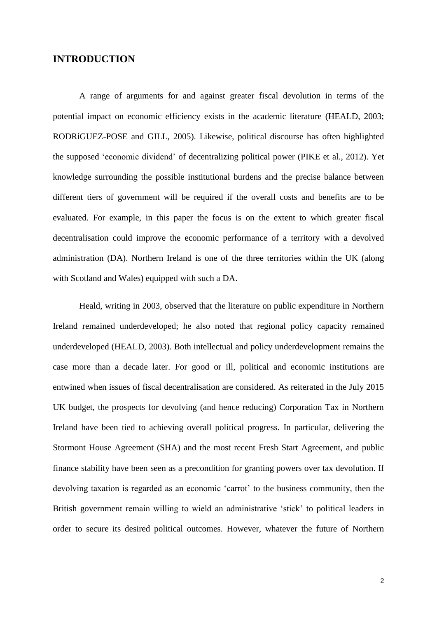## **INTRODUCTION**

A range of arguments for and against greater fiscal devolution in terms of the potential impact on economic efficiency exists in the academic literature (HEALD, 2003; RODRíGUEZ-POSE and GILL, 2005). Likewise, political discourse has often highlighted the supposed 'economic dividend' of decentralizing political power (PIKE et al., 2012). Yet knowledge surrounding the possible institutional burdens and the precise balance between different tiers of government will be required if the overall costs and benefits are to be evaluated. For example, in this paper the focus is on the extent to which greater fiscal decentralisation could improve the economic performance of a territory with a devolved administration (DA). Northern Ireland is one of the three territories within the UK (along with Scotland and Wales) equipped with such a DA.

Heald, writing in 2003, observed that the literature on public expenditure in Northern Ireland remained underdeveloped; he also noted that regional policy capacity remained underdeveloped (HEALD, 2003). Both intellectual and policy underdevelopment remains the case more than a decade later. For good or ill, political and economic institutions are entwined when issues of fiscal decentralisation are considered. As reiterated in the July 2015 UK budget, the prospects for devolving (and hence reducing) Corporation Tax in Northern Ireland have been tied to achieving overall political progress. In particular, delivering the Stormont House Agreement (SHA) and the most recent Fresh Start Agreement, and public finance stability have been seen as a precondition for granting powers over tax devolution. If devolving taxation is regarded as an economic 'carrot' to the business community, then the British government remain willing to wield an administrative 'stick' to political leaders in order to secure its desired political outcomes. However, whatever the future of Northern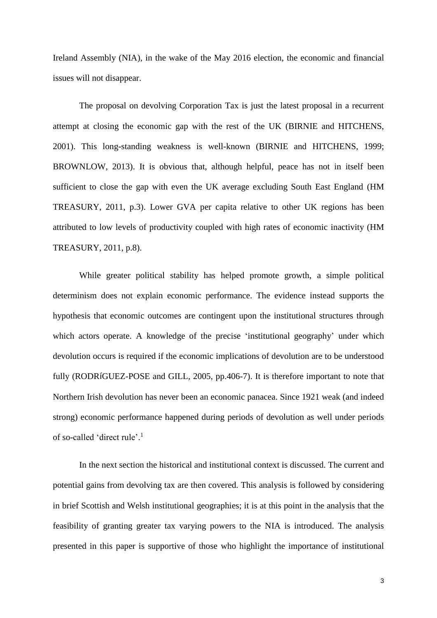Ireland Assembly (NIA), in the wake of the May 2016 election, the economic and financial issues will not disappear.

The proposal on devolving Corporation Tax is just the latest proposal in a recurrent attempt at closing the economic gap with the rest of the UK (BIRNIE and HITCHENS, 2001). This long-standing weakness is well-known (BIRNIE and HITCHENS, 1999; BROWNLOW, 2013). It is obvious that, although helpful, peace has not in itself been sufficient to close the gap with even the UK average excluding South East England (HM TREASURY, 2011, p.3). Lower GVA per capita relative to other UK regions has been attributed to low levels of productivity coupled with high rates of economic inactivity (HM TREASURY, 2011, p.8).

While greater political stability has helped promote growth, a simple political determinism does not explain economic performance. The evidence instead supports the hypothesis that economic outcomes are contingent upon the institutional structures through which actors operate. A knowledge of the precise 'institutional geography' under which devolution occurs is required if the economic implications of devolution are to be understood fully (RODRíGUEZ-POSE and GILL, 2005, pp.406-7). It is therefore important to note that Northern Irish devolution has never been an economic panacea. Since 1921 weak (and indeed strong) economic performance happened during periods of devolution as well under periods of so-called 'direct rule'. 1

In the next section the historical and institutional context is discussed. The current and potential gains from devolving tax are then covered. This analysis is followed by considering in brief Scottish and Welsh institutional geographies; it is at this point in the analysis that the feasibility of granting greater tax varying powers to the NIA is introduced. The analysis presented in this paper is supportive of those who highlight the importance of institutional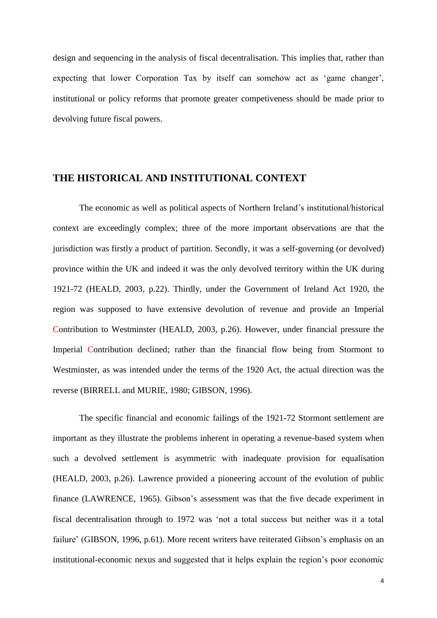design and sequencing in the analysis of fiscal decentralisation. This implies that, rather than expecting that lower Corporation Tax by itself can somehow act as 'game changer', institutional or policy reforms that promote greater competiveness should be made prior to devolving future fiscal powers.

# **THE HISTORICAL AND INSTITUTIONAL CONTEXT**

The economic as well as political aspects of Northern Ireland's institutional/historical context are exceedingly complex; three of the more important observations are that the jurisdiction was firstly a product of partition. Secondly, it was a self-governing (or devolved) province within the UK and indeed it was the only devolved territory within the UK during 1921-72 (HEALD, 2003, p.22). Thirdly, under the Government of Ireland Act 1920, the region was supposed to have extensive devolution of revenue and provide an Imperial Contribution to Westminster (HEALD, 2003, p.26). However, under financial pressure the Imperial Contribution declined; rather than the financial flow being from Stormont to Westminster, as was intended under the terms of the 1920 Act, the actual direction was the reverse (BIRRELL and MURIE, 1980; GIBSON, 1996).

The specific financial and economic failings of the 1921-72 Stormont settlement are important as they illustrate the problems inherent in operating a revenue-based system when such a devolved settlement is asymmetric with inadequate provision for equalisation (HEALD, 2003, p.26). Lawrence provided a pioneering account of the evolution of public finance (LAWRENCE, 1965). Gibson's assessment was that the five decade experiment in fiscal decentralisation through to 1972 was 'not a total success but neither was it a total failure' (GIBSON, 1996, p.61). More recent writers have reiterated Gibson's emphasis on an institutional-economic nexus and suggested that it helps explain the region's poor economic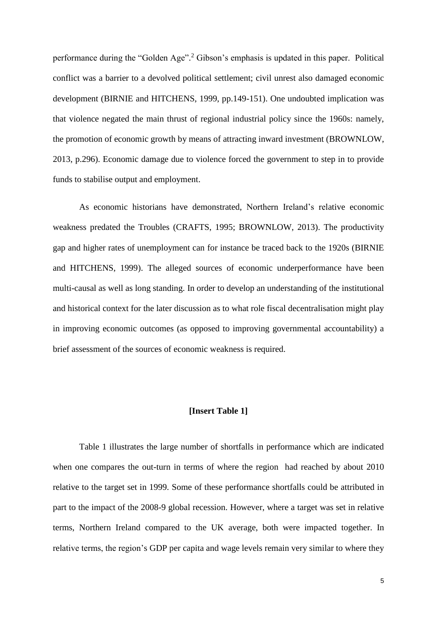performance during the "Golden Age". <sup>2</sup> Gibson's emphasis is updated in this paper. Political conflict was a barrier to a devolved political settlement; civil unrest also damaged economic development (BIRNIE and HITCHENS, 1999, pp.149-151). One undoubted implication was that violence negated the main thrust of regional industrial policy since the 1960s: namely, the promotion of economic growth by means of attracting inward investment (BROWNLOW, 2013, p.296). Economic damage due to violence forced the government to step in to provide funds to stabilise output and employment.

As economic historians have demonstrated, Northern Ireland's relative economic weakness predated the Troubles (CRAFTS, 1995; BROWNLOW, 2013). The productivity gap and higher rates of unemployment can for instance be traced back to the 1920s (BIRNIE and HITCHENS, 1999). The alleged sources of economic underperformance have been multi-causal as well as long standing. In order to develop an understanding of the institutional and historical context for the later discussion as to what role fiscal decentralisation might play in improving economic outcomes (as opposed to improving governmental accountability) a brief assessment of the sources of economic weakness is required.

## **[Insert Table 1]**

Table 1 illustrates the large number of shortfalls in performance which are indicated when one compares the out-turn in terms of where the region had reached by about 2010 relative to the target set in 1999. Some of these performance shortfalls could be attributed in part to the impact of the 2008-9 global recession. However, where a target was set in relative terms, Northern Ireland compared to the UK average, both were impacted together. In relative terms, the region's GDP per capita and wage levels remain very similar to where they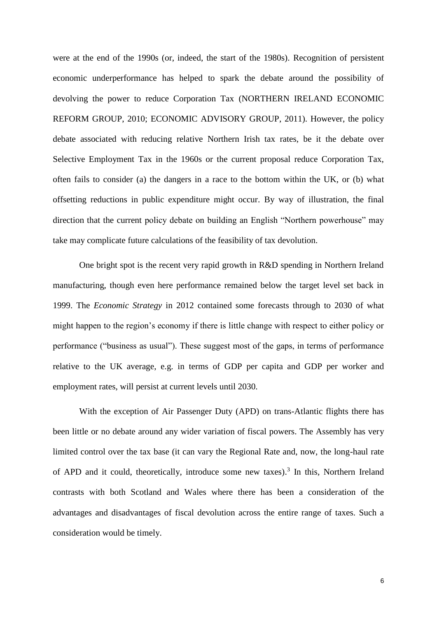were at the end of the 1990s (or, indeed, the start of the 1980s). Recognition of persistent economic underperformance has helped to spark the debate around the possibility of devolving the power to reduce Corporation Tax (NORTHERN IRELAND ECONOMIC REFORM GROUP, 2010; ECONOMIC ADVISORY GROUP, 2011). However, the policy debate associated with reducing relative Northern Irish tax rates, be it the debate over Selective Employment Tax in the 1960s or the current proposal reduce Corporation Tax, often fails to consider (a) the dangers in a race to the bottom within the UK, or (b) what offsetting reductions in public expenditure might occur. By way of illustration, the final direction that the current policy debate on building an English "Northern powerhouse" may take may complicate future calculations of the feasibility of tax devolution.

One bright spot is the recent very rapid growth in R&D spending in Northern Ireland manufacturing, though even here performance remained below the target level set back in 1999. The *Economic Strategy* in 2012 contained some forecasts through to 2030 of what might happen to the region's economy if there is little change with respect to either policy or performance ("business as usual"). These suggest most of the gaps, in terms of performance relative to the UK average, e.g. in terms of GDP per capita and GDP per worker and employment rates, will persist at current levels until 2030.

With the exception of Air Passenger Duty (APD) on trans-Atlantic flights there has been little or no debate around any wider variation of fiscal powers. The Assembly has very limited control over the tax base (it can vary the Regional Rate and, now, the long-haul rate of APD and it could, theoretically, introduce some new taxes). 3 In this, Northern Ireland contrasts with both Scotland and Wales where there has been a consideration of the advantages and disadvantages of fiscal devolution across the entire range of taxes. Such a consideration would be timely.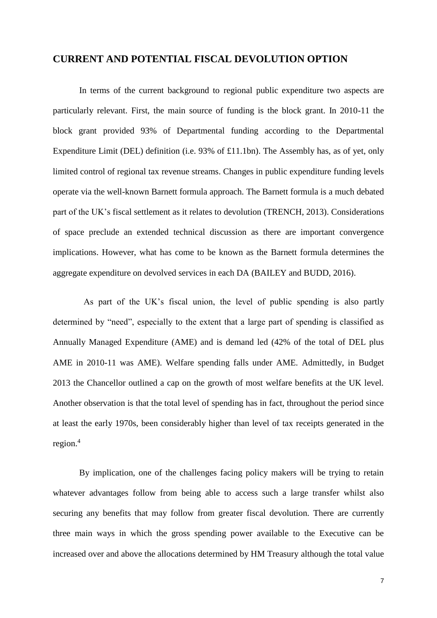## **CURRENT AND POTENTIAL FISCAL DEVOLUTION OPTION**

In terms of the current background to regional public expenditure two aspects are particularly relevant. First, the main source of funding is the block grant. In 2010-11 the block grant provided 93% of Departmental funding according to the Departmental Expenditure Limit (DEL) definition (i.e. 93% of £11.1bn). The Assembly has, as of yet, only limited control of regional tax revenue streams. Changes in public expenditure funding levels operate via the well-known Barnett formula approach. The Barnett formula is a much debated part of the UK's fiscal settlement as it relates to devolution (TRENCH, 2013). Considerations of space preclude an extended technical discussion as there are important convergence implications. However, what has come to be known as the Barnett formula determines the aggregate expenditure on devolved services in each DA (BAILEY and BUDD, 2016).

 As part of the UK's fiscal union, the level of public spending is also partly determined by "need", especially to the extent that a large part of spending is classified as Annually Managed Expenditure (AME) and is demand led (42% of the total of DEL plus AME in 2010-11 was AME). Welfare spending falls under AME. Admittedly, in Budget 2013 the Chancellor outlined a cap on the growth of most welfare benefits at the UK level. Another observation is that the total level of spending has in fact, throughout the period since at least the early 1970s, been considerably higher than level of tax receipts generated in the region. 4

By implication, one of the challenges facing policy makers will be trying to retain whatever advantages follow from being able to access such a large transfer whilst also securing any benefits that may follow from greater fiscal devolution. There are currently three main ways in which the gross spending power available to the Executive can be increased over and above the allocations determined by HM Treasury although the total value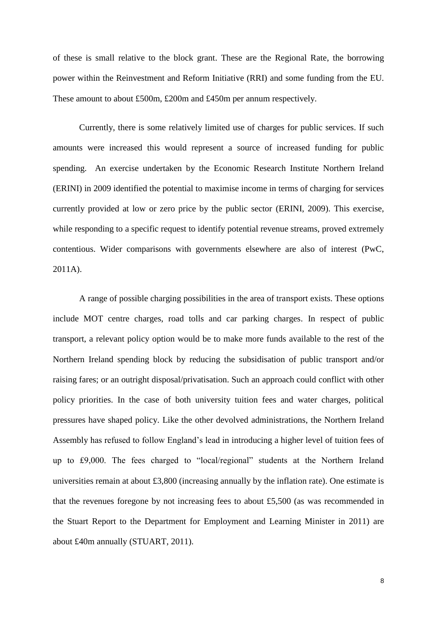of these is small relative to the block grant. These are the Regional Rate, the borrowing power within the Reinvestment and Reform Initiative (RRI) and some funding from the EU. These amount to about £500m, £200m and £450m per annum respectively.

Currently, there is some relatively limited use of charges for public services. If such amounts were increased this would represent a source of increased funding for public spending. An exercise undertaken by the Economic Research Institute Northern Ireland (ERINI) in 2009 identified the potential to maximise income in terms of charging for services currently provided at low or zero price by the public sector (ERINI, 2009). This exercise, while responding to a specific request to identify potential revenue streams, proved extremely contentious. Wider comparisons with governments elsewhere are also of interest (PwC, 2011A).

A range of possible charging possibilities in the area of transport exists. These options include MOT centre charges, road tolls and car parking charges. In respect of public transport, a relevant policy option would be to make more funds available to the rest of the Northern Ireland spending block by reducing the subsidisation of public transport and/or raising fares; or an outright disposal/privatisation. Such an approach could conflict with other policy priorities. In the case of both university tuition fees and water charges, political pressures have shaped policy. Like the other devolved administrations, the Northern Ireland Assembly has refused to follow England's lead in introducing a higher level of tuition fees of up to £9,000. The fees charged to "local/regional" students at the Northern Ireland universities remain at about £3,800 (increasing annually by the inflation rate). One estimate is that the revenues foregone by not increasing fees to about £5,500 (as was recommended in the Stuart Report to the Department for Employment and Learning Minister in 2011) are about £40m annually (STUART, 2011).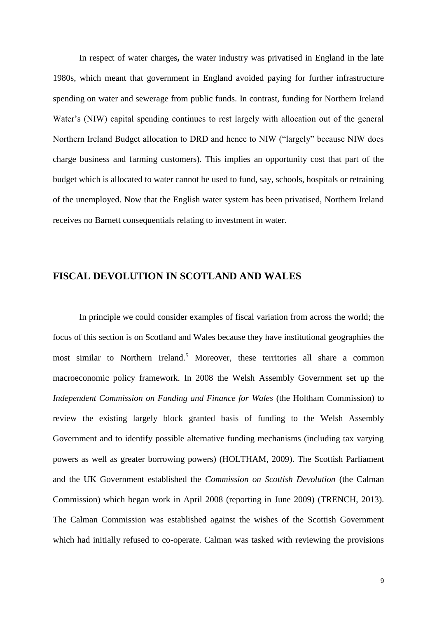In respect of water charges**,** the water industry was privatised in England in the late 1980s, which meant that government in England avoided paying for further infrastructure spending on water and sewerage from public funds. In contrast, funding for Northern Ireland Water's (NIW) capital spending continues to rest largely with allocation out of the general Northern Ireland Budget allocation to DRD and hence to NIW ("largely" because NIW does charge business and farming customers). This implies an opportunity cost that part of the budget which is allocated to water cannot be used to fund, say, schools, hospitals or retraining of the unemployed. Now that the English water system has been privatised, Northern Ireland receives no Barnett consequentials relating to investment in water.

# **FISCAL DEVOLUTION IN SCOTLAND AND WALES**

In principle we could consider examples of fiscal variation from across the world; the focus of this section is on Scotland and Wales because they have institutional geographies the most similar to Northern Ireland.<sup>5</sup> Moreover, these territories all share a common macroeconomic policy framework. In 2008 the Welsh Assembly Government set up the *Independent Commission on Funding and Finance for Wales* (the Holtham Commission) to review the existing largely block granted basis of funding to the Welsh Assembly Government and to identify possible alternative funding mechanisms (including tax varying powers as well as greater borrowing powers) (HOLTHAM, 2009). The Scottish Parliament and the UK Government established the *Commission on Scottish Devolution* (the Calman Commission) which began work in April 2008 (reporting in June 2009) (TRENCH, 2013). The Calman Commission was established against the wishes of the Scottish Government which had initially refused to co-operate. Calman was tasked with reviewing the provisions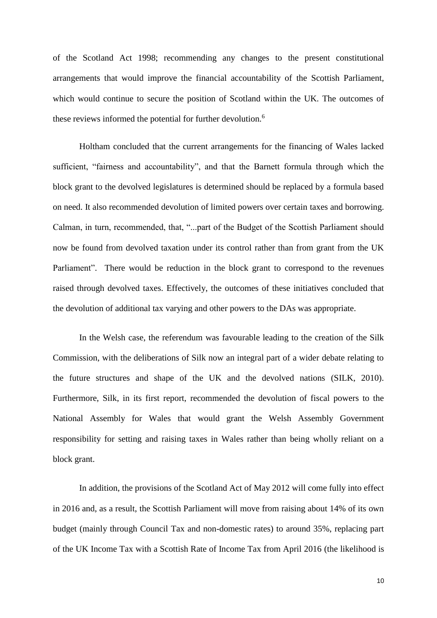of the Scotland Act 1998; recommending any changes to the present constitutional arrangements that would improve the financial accountability of the Scottish Parliament, which would continue to secure the position of Scotland within the UK. The outcomes of these reviews informed the potential for further devolution.<sup>6</sup>

Holtham concluded that the current arrangements for the financing of Wales lacked sufficient, "fairness and accountability", and that the Barnett formula through which the block grant to the devolved legislatures is determined should be replaced by a formula based on need. It also recommended devolution of limited powers over certain taxes and borrowing. Calman, in turn, recommended, that, "...part of the Budget of the Scottish Parliament should now be found from devolved taxation under its control rather than from grant from the UK Parliament". There would be reduction in the block grant to correspond to the revenues raised through devolved taxes. Effectively, the outcomes of these initiatives concluded that the devolution of additional tax varying and other powers to the DAs was appropriate.

In the Welsh case, the referendum was favourable leading to the creation of the Silk Commission, with the deliberations of Silk now an integral part of a wider debate relating to the future structures and shape of the UK and the devolved nations (SILK, 2010). Furthermore, Silk, in its first report, recommended the devolution of fiscal powers to the National Assembly for Wales that would grant the Welsh Assembly Government responsibility for setting and raising taxes in Wales rather than being wholly reliant on a block grant.

In addition, the provisions of the Scotland Act of May 2012 will come fully into effect in 2016 and, as a result, the Scottish Parliament will move from raising about 14% of its own budget (mainly through Council Tax and non-domestic rates) to around 35%, replacing part of the UK Income Tax with a Scottish Rate of Income Tax from April 2016 (the likelihood is

10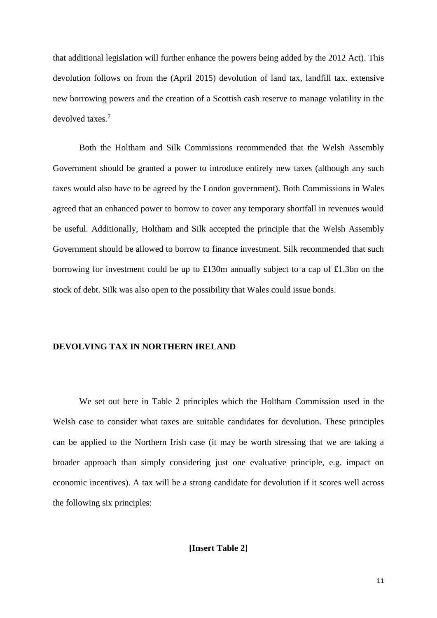that additional legislation will further enhance the powers being added by the 2012 Act). This devolution follows on from the (April 2015) devolution of land tax, landfill tax. extensive new borrowing powers and the creation of a Scottish cash reserve to manage volatility in the devolved taxes*.* 7

Both the Holtham and Silk Commissions recommended that the Welsh Assembly Government should be granted a power to introduce entirely new taxes (although any such taxes would also have to be agreed by the London government). Both Commissions in Wales agreed that an enhanced power to borrow to cover any temporary shortfall in revenues would be useful. Additionally, Holtham and Silk accepted the principle that the Welsh Assembly Government should be allowed to borrow to finance investment. Silk recommended that such borrowing for investment could be up to £130m annually subject to a cap of £1.3bn on the stock of debt. Silk was also open to the possibility that Wales could issue bonds.

#### **DEVOLVING TAX IN NORTHERN IRELAND**

We set out here in Table 2 principles which the Holtham Commission used in the Welsh case to consider what taxes are suitable candidates for devolution. These principles can be applied to the Northern Irish case (it may be worth stressing that we are taking a broader approach than simply considering just one evaluative principle, e.g. impact on economic incentives). A tax will be a strong candidate for devolution if it scores well across the following six principles: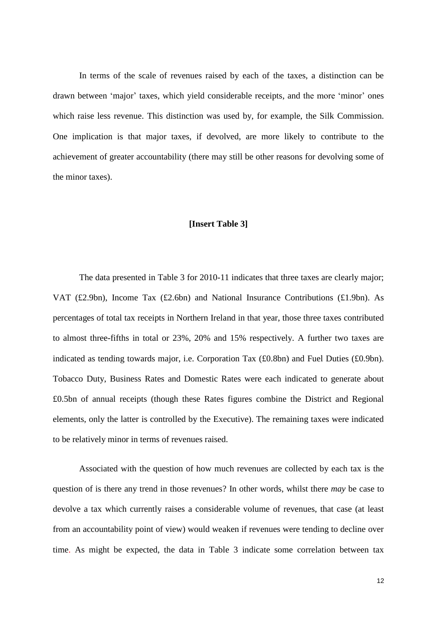In terms of the scale of revenues raised by each of the taxes, a distinction can be drawn between 'major' taxes, which yield considerable receipts, and the more 'minor' ones which raise less revenue. This distinction was used by, for example, the Silk Commission. One implication is that major taxes, if devolved, are more likely to contribute to the achievement of greater accountability (there may still be other reasons for devolving some of the minor taxes).

#### **[Insert Table 3]**

The data presented in Table 3 for 2010-11 indicates that three taxes are clearly major; VAT (£2.9bn), Income Tax (£2.6bn) and National Insurance Contributions (£1.9bn). As percentages of total tax receipts in Northern Ireland in that year, those three taxes contributed to almost three-fifths in total or 23%, 20% and 15% respectively. A further two taxes are indicated as tending towards major, i.e. Corporation Tax (£0.8bn) and Fuel Duties (£0.9bn). Tobacco Duty, Business Rates and Domestic Rates were each indicated to generate about £0.5bn of annual receipts (though these Rates figures combine the District and Regional elements, only the latter is controlled by the Executive). The remaining taxes were indicated to be relatively minor in terms of revenues raised.

Associated with the question of how much revenues are collected by each tax is the question of is there any trend in those revenues? In other words, whilst there *may* be case to devolve a tax which currently raises a considerable volume of revenues, that case (at least from an accountability point of view) would weaken if revenues were tending to decline over time. As might be expected, the data in Table 3 indicate some correlation between tax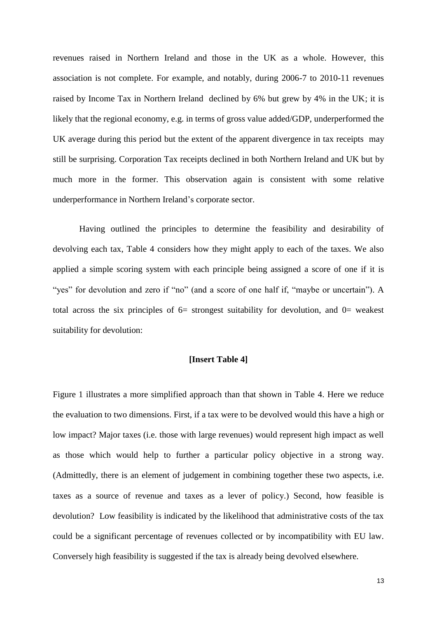revenues raised in Northern Ireland and those in the UK as a whole. However, this association is not complete. For example, and notably, during 2006-7 to 2010-11 revenues raised by Income Tax in Northern Ireland declined by 6% but grew by 4% in the UK; it is likely that the regional economy, e.g. in terms of gross value added/GDP, underperformed the UK average during this period but the extent of the apparent divergence in tax receipts may still be surprising. Corporation Tax receipts declined in both Northern Ireland and UK but by much more in the former. This observation again is consistent with some relative underperformance in Northern Ireland's corporate sector.

Having outlined the principles to determine the feasibility and desirability of devolving each tax, Table 4 considers how they might apply to each of the taxes. We also applied a simple scoring system with each principle being assigned a score of one if it is "yes" for devolution and zero if "no" (and a score of one half if, "maybe or uncertain"). A total across the six principles of  $6=$  strongest suitability for devolution, and  $0=$  weakest suitability for devolution:

## **[Insert Table 4]**

Figure 1 illustrates a more simplified approach than that shown in Table 4. Here we reduce the evaluation to two dimensions. First, if a tax were to be devolved would this have a high or low impact? Major taxes (i.e. those with large revenues) would represent high impact as well as those which would help to further a particular policy objective in a strong way. (Admittedly, there is an element of judgement in combining together these two aspects, i.e. taxes as a source of revenue and taxes as a lever of policy.) Second, how feasible is devolution? Low feasibility is indicated by the likelihood that administrative costs of the tax could be a significant percentage of revenues collected or by incompatibility with EU law. Conversely high feasibility is suggested if the tax is already being devolved elsewhere.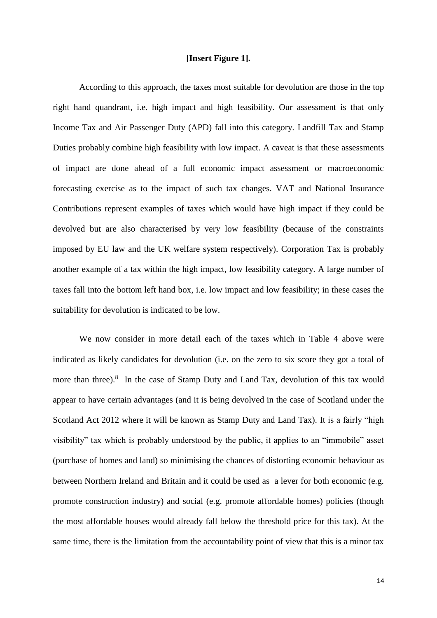## **[Insert Figure 1].**

According to this approach, the taxes most suitable for devolution are those in the top right hand quandrant, i.e. high impact and high feasibility. Our assessment is that only Income Tax and Air Passenger Duty (APD) fall into this category. Landfill Tax and Stamp Duties probably combine high feasibility with low impact. A caveat is that these assessments of impact are done ahead of a full economic impact assessment or macroeconomic forecasting exercise as to the impact of such tax changes. VAT and National Insurance Contributions represent examples of taxes which would have high impact if they could be devolved but are also characterised by very low feasibility (because of the constraints imposed by EU law and the UK welfare system respectively). Corporation Tax is probably another example of a tax within the high impact, low feasibility category. A large number of taxes fall into the bottom left hand box, i.e. low impact and low feasibility; in these cases the suitability for devolution is indicated to be low.

We now consider in more detail each of the taxes which in Table 4 above were indicated as likely candidates for devolution (i.e. on the zero to six score they got a total of more than three).<sup>8</sup> In the case of Stamp Duty and Land Tax, devolution of this tax would appear to have certain advantages (and it is being devolved in the case of Scotland under the Scotland Act 2012 where it will be known as Stamp Duty and Land Tax). It is a fairly "high visibility" tax which is probably understood by the public, it applies to an "immobile" asset (purchase of homes and land) so minimising the chances of distorting economic behaviour as between Northern Ireland and Britain and it could be used as a lever for both economic (e.g. promote construction industry) and social (e.g. promote affordable homes) policies (though the most affordable houses would already fall below the threshold price for this tax). At the same time, there is the limitation from the accountability point of view that this is a minor tax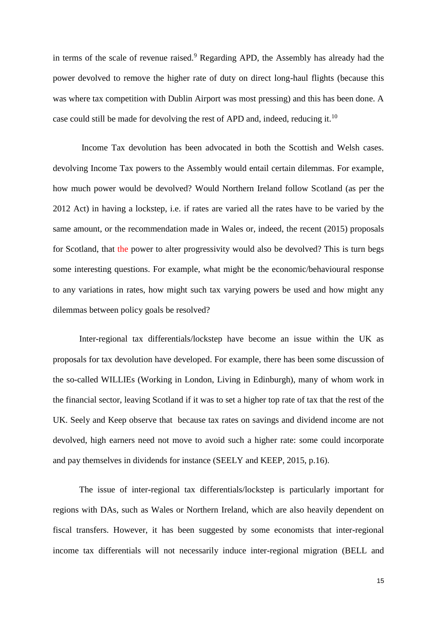in terms of the scale of revenue raised.<sup>9</sup> Regarding APD, the Assembly has already had the power devolved to remove the higher rate of duty on direct long-haul flights (because this was where tax competition with Dublin Airport was most pressing) and this has been done. A case could still be made for devolving the rest of APD and, indeed, reducing it.<sup>10</sup>

Income Tax devolution has been advocated in both the Scottish and Welsh cases. devolving Income Tax powers to the Assembly would entail certain dilemmas. For example, how much power would be devolved? Would Northern Ireland follow Scotland (as per the 2012 Act) in having a lockstep, i.e. if rates are varied all the rates have to be varied by the same amount, or the recommendation made in Wales or, indeed, the recent (2015) proposals for Scotland, that the power to alter progressivity would also be devolved? This is turn begs some interesting questions. For example, what might be the economic/behavioural response to any variations in rates, how might such tax varying powers be used and how might any dilemmas between policy goals be resolved?

Inter-regional tax differentials/lockstep have become an issue within the UK as proposals for tax devolution have developed. For example, there has been some discussion of the so-called WILLIEs (Working in London, Living in Edinburgh), many of whom work in the financial sector, leaving Scotland if it was to set a higher top rate of tax that the rest of the UK. Seely and Keep observe that because tax rates on savings and dividend income are not devolved, high earners need not move to avoid such a higher rate: some could incorporate and pay themselves in dividends for instance (SEELY and KEEP, 2015, p.16).

The issue of inter-regional tax differentials/lockstep is particularly important for regions with DAs, such as Wales or Northern Ireland, which are also heavily dependent on fiscal transfers. However, it has been suggested by some economists that inter-regional income tax differentials will not necessarily induce inter-regional migration (BELL and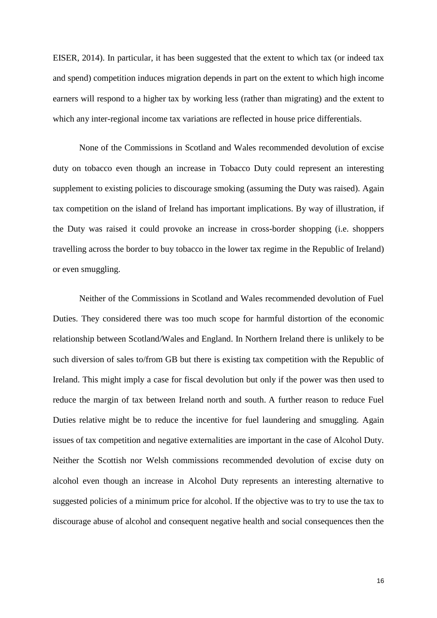EISER, 2014). In particular, it has been suggested that the extent to which tax (or indeed tax and spend) competition induces migration depends in part on the extent to which high income earners will respond to a higher tax by working less (rather than migrating) and the extent to which any inter-regional income tax variations are reflected in house price differentials.

None of the Commissions in Scotland and Wales recommended devolution of excise duty on tobacco even though an increase in Tobacco Duty could represent an interesting supplement to existing policies to discourage smoking (assuming the Duty was raised). Again tax competition on the island of Ireland has important implications. By way of illustration, if the Duty was raised it could provoke an increase in cross-border shopping (i.e. shoppers travelling across the border to buy tobacco in the lower tax regime in the Republic of Ireland) or even smuggling.

Neither of the Commissions in Scotland and Wales recommended devolution of Fuel Duties. They considered there was too much scope for harmful distortion of the economic relationship between Scotland/Wales and England. In Northern Ireland there is unlikely to be such diversion of sales to/from GB but there is existing tax competition with the Republic of Ireland. This might imply a case for fiscal devolution but only if the power was then used to reduce the margin of tax between Ireland north and south. A further reason to reduce Fuel Duties relative might be to reduce the incentive for fuel laundering and smuggling. Again issues of tax competition and negative externalities are important in the case of Alcohol Duty. Neither the Scottish nor Welsh commissions recommended devolution of excise duty on alcohol even though an increase in Alcohol Duty represents an interesting alternative to suggested policies of a minimum price for alcohol. If the objective was to try to use the tax to discourage abuse of alcohol and consequent negative health and social consequences then the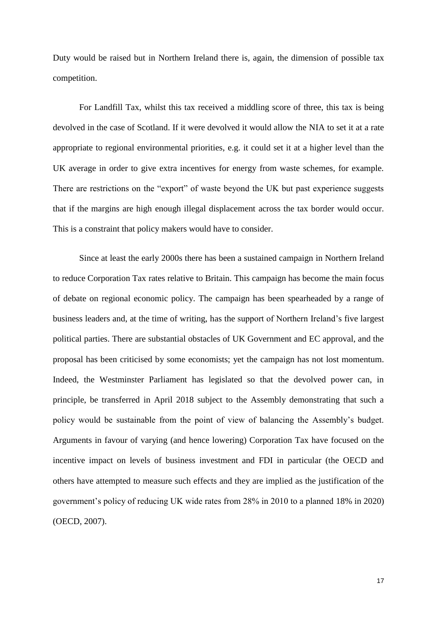Duty would be raised but in Northern Ireland there is, again, the dimension of possible tax competition.

For Landfill Tax, whilst this tax received a middling score of three, this tax is being devolved in the case of Scotland. If it were devolved it would allow the NIA to set it at a rate appropriate to regional environmental priorities, e.g. it could set it at a higher level than the UK average in order to give extra incentives for energy from waste schemes, for example. There are restrictions on the "export" of waste beyond the UK but past experience suggests that if the margins are high enough illegal displacement across the tax border would occur. This is a constraint that policy makers would have to consider.

Since at least the early 2000s there has been a sustained campaign in Northern Ireland to reduce Corporation Tax rates relative to Britain. This campaign has become the main focus of debate on regional economic policy. The campaign has been spearheaded by a range of business leaders and, at the time of writing, has the support of Northern Ireland's five largest political parties. There are substantial obstacles of UK Government and EC approval, and the proposal has been criticised by some economists; yet the campaign has not lost momentum. Indeed, the Westminster Parliament has legislated so that the devolved power can, in principle, be transferred in April 2018 subject to the Assembly demonstrating that such a policy would be sustainable from the point of view of balancing the Assembly's budget. Arguments in favour of varying (and hence lowering) Corporation Tax have focused on the incentive impact on levels of business investment and FDI in particular (the OECD and others have attempted to measure such effects and they are implied as the justification of the government's policy of reducing UK wide rates from 28% in 2010 to a planned 18% in 2020) (OECD, 2007).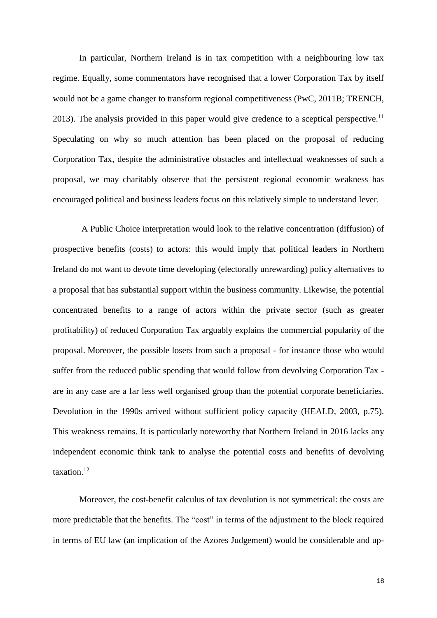In particular, Northern Ireland is in tax competition with a neighbouring low tax regime. Equally, some commentators have recognised that a lower Corporation Tax by itself would not be a game changer to transform regional competitiveness (PwC, 2011B; TRENCH, 2013). The analysis provided in this paper would give credence to a sceptical perspective.<sup>11</sup> Speculating on why so much attention has been placed on the proposal of reducing Corporation Tax, despite the administrative obstacles and intellectual weaknesses of such a proposal, we may charitably observe that the persistent regional economic weakness has encouraged political and business leaders focus on this relatively simple to understand lever.

A Public Choice interpretation would look to the relative concentration (diffusion) of prospective benefits (costs) to actors: this would imply that political leaders in Northern Ireland do not want to devote time developing (electorally unrewarding) policy alternatives to a proposal that has substantial support within the business community. Likewise, the potential concentrated benefits to a range of actors within the private sector (such as greater profitability) of reduced Corporation Tax arguably explains the commercial popularity of the proposal. Moreover, the possible losers from such a proposal - for instance those who would suffer from the reduced public spending that would follow from devolving Corporation Tax are in any case are a far less well organised group than the potential corporate beneficiaries. Devolution in the 1990s arrived without sufficient policy capacity (HEALD, 2003, p.75). This weakness remains. It is particularly noteworthy that Northern Ireland in 2016 lacks any independent economic think tank to analyse the potential costs and benefits of devolving taxation. 12

Moreover, the cost-benefit calculus of tax devolution is not symmetrical: the costs are more predictable that the benefits. The "cost" in terms of the adjustment to the block required in terms of EU law (an implication of the Azores Judgement) would be considerable and up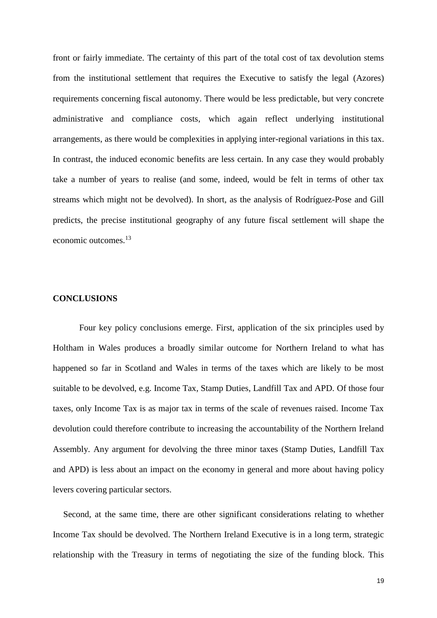front or fairly immediate. The certainty of this part of the total cost of tax devolution stems from the institutional settlement that requires the Executive to satisfy the legal (Azores) requirements concerning fiscal autonomy. There would be less predictable, but very concrete administrative and compliance costs, which again reflect underlying institutional arrangements, as there would be complexities in applying inter-regional variations in this tax. In contrast, the induced economic benefits are less certain. In any case they would probably take a number of years to realise (and some, indeed, would be felt in terms of other tax streams which might not be devolved). In short, as the analysis of Rodríguez-Pose and Gill predicts, the precise institutional geography of any future fiscal settlement will shape the economic outcomes.<sup>13</sup>

#### **CONCLUSIONS**

Four key policy conclusions emerge. First, application of the six principles used by Holtham in Wales produces a broadly similar outcome for Northern Ireland to what has happened so far in Scotland and Wales in terms of the taxes which are likely to be most suitable to be devolved, e.g. Income Tax, Stamp Duties, Landfill Tax and APD. Of those four taxes, only Income Tax is as major tax in terms of the scale of revenues raised. Income Tax devolution could therefore contribute to increasing the accountability of the Northern Ireland Assembly. Any argument for devolving the three minor taxes (Stamp Duties, Landfill Tax and APD) is less about an impact on the economy in general and more about having policy levers covering particular sectors.

Second, at the same time, there are other significant considerations relating to whether Income Tax should be devolved. The Northern Ireland Executive is in a long term, strategic relationship with the Treasury in terms of negotiating the size of the funding block. This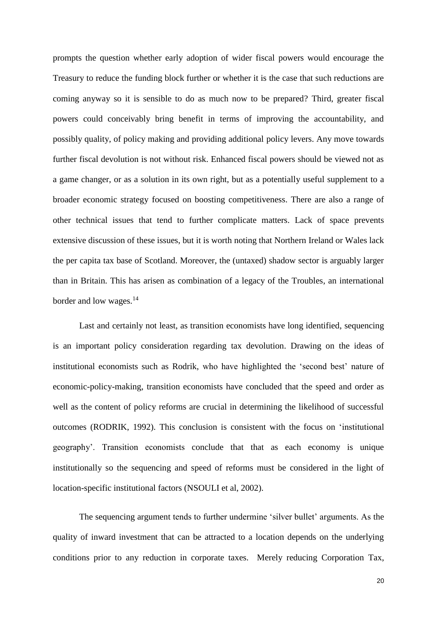prompts the question whether early adoption of wider fiscal powers would encourage the Treasury to reduce the funding block further or whether it is the case that such reductions are coming anyway so it is sensible to do as much now to be prepared? Third, greater fiscal powers could conceivably bring benefit in terms of improving the accountability, and possibly quality, of policy making and providing additional policy levers. Any move towards further fiscal devolution is not without risk. Enhanced fiscal powers should be viewed not as a game changer, or as a solution in its own right, but as a potentially useful supplement to a broader economic strategy focused on boosting competitiveness. There are also a range of other technical issues that tend to further complicate matters. Lack of space prevents extensive discussion of these issues, but it is worth noting that Northern Ireland or Wales lack the per capita tax base of Scotland. Moreover, the (untaxed) shadow sector is arguably larger than in Britain. This has arisen as combination of a legacy of the Troubles, an international border and low wages. 14

Last and certainly not least, as transition economists have long identified, sequencing is an important policy consideration regarding tax devolution. Drawing on the ideas of institutional economists such as Rodrik, who have highlighted the 'second best' nature of economic-policy-making, transition economists have concluded that the speed and order as well as the content of policy reforms are crucial in determining the likelihood of successful outcomes (RODRIK, 1992). This conclusion is consistent with the focus on 'institutional geography'. Transition economists conclude that that as each economy is unique institutionally so the sequencing and speed of reforms must be considered in the light of location-specific institutional factors (NSOULI et al, 2002).

The sequencing argument tends to further undermine 'silver bullet' arguments. As the quality of inward investment that can be attracted to a location depends on the underlying conditions prior to any reduction in corporate taxes. Merely reducing Corporation Tax,

20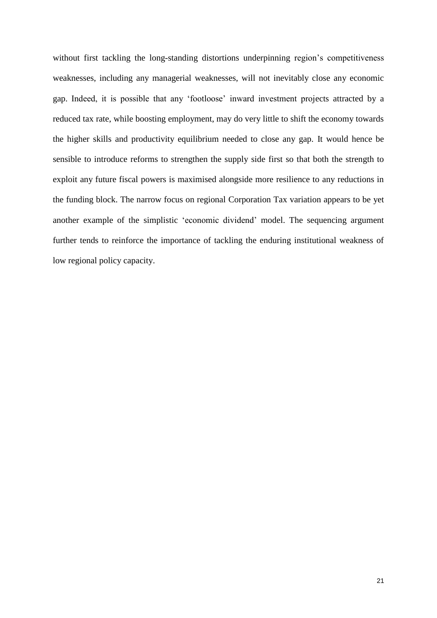without first tackling the long-standing distortions underpinning region's competitiveness weaknesses, including any managerial weaknesses, will not inevitably close any economic gap. Indeed, it is possible that any 'footloose' inward investment projects attracted by a reduced tax rate, while boosting employment, may do very little to shift the economy towards the higher skills and productivity equilibrium needed to close any gap. It would hence be sensible to introduce reforms to strengthen the supply side first so that both the strength to exploit any future fiscal powers is maximised alongside more resilience to any reductions in the funding block. The narrow focus on regional Corporation Tax variation appears to be yet another example of the simplistic 'economic dividend' model. The sequencing argument further tends to reinforce the importance of tackling the enduring institutional weakness of low regional policy capacity.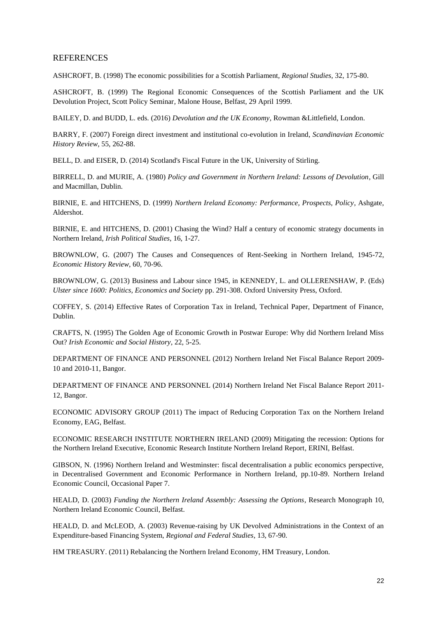#### **REFERENCES**

ASHCROFT, B. (1998) The economic possibilities for a Scottish Parliament*, Regional Studies*, 32, 175-80.

ASHCROFT, B. (1999) The Regional Economic Consequences of the Scottish Parliament and the UK Devolution Project, Scott Policy Seminar*,* Malone House, Belfast*,* 29 April 1999.

BAILEY, D. and BUDD, L. eds. (2016) *Devolution and the UK Economy*, Rowman &Littlefield, London.

BARRY, F. (2007) Foreign direct investment and institutional co-evolution in Ireland, *Scandinavian Economic History Review*, 55, 262-88.

BELL, D. and EISER, D. (2014) Scotland's Fiscal Future in the UK, University of Stirling.

BIRRELL, D. and MURIE, A. (1980) *Policy and Government in Northern Ireland: Lessons of Devolution*, Gill and Macmillan, Dublin.

BIRNIE, E. and HITCHENS, D. (1999) *Northern Ireland Economy: Performance, Prospects, Policy*, Ashgate, Aldershot.

BIRNIE, E. and HITCHENS, D. (2001) Chasing the Wind? Half a century of economic strategy documents in Northern Ireland*, Irish Political Studies*, 16, 1-27.

BROWNLOW, G. (2007) The Causes and Consequences of Rent-Seeking in Northern Ireland, 1945-72, *Economic History Review*, 60, 70-96.

BROWNLOW, G. (2013) Business and Labour since 1945, in KENNEDY, L. and OLLERENSHAW, P. (Eds) *Ulster since 1600: Politics, Economics and Society* pp. 291-308. Oxford University Press, Oxford.

COFFEY, S. (2014) Effective Rates of Corporation Tax in Ireland, Technical Paper, Department of Finance, Dublin.

CRAFTS, N. (1995) The Golden Age of Economic Growth in Postwar Europe: Why did Northern Ireland Miss Out? *Irish Economic and Social History*, 22, 5-25.

DEPARTMENT OF FINANCE AND PERSONNEL (2012) Northern Ireland Net Fiscal Balance Report 2009- 10 and 2010-11, Bangor.

DEPARTMENT OF FINANCE AND PERSONNEL (2014) Northern Ireland Net Fiscal Balance Report 2011- 12, Bangor.

ECONOMIC ADVISORY GROUP (2011) The impact of Reducing Corporation Tax on the Northern Ireland Economy, EAG, Belfast.

ECONOMIC RESEARCH INSTITUTE NORTHERN IRELAND (2009) Mitigating the recession: Options for the Northern Ireland Executive, Economic Research Institute Northern Ireland Report*,* ERINI, Belfast.

GIBSON, N. (1996) Northern Ireland and Westminster: fiscal decentralisation a public economics perspective, in Decentralised Government and Economic Performance in Northern Ireland, pp.10-89. Northern Ireland Economic Council, Occasional Paper 7.

HEALD, D. (2003) *Funding the Northern Ireland Assembly: Assessing the Options*, Research Monograph 10, Northern Ireland Economic Council, Belfast.

HEALD, D. and McLEOD, A. (2003) Revenue-raising by UK Devolved Administrations in the Context of an Expenditure-based Financing System, *Regional and Federal Studies*, 13, 67-90.

HM TREASURY. (2011) Rebalancing the Northern Ireland Economy, HM Treasury, London.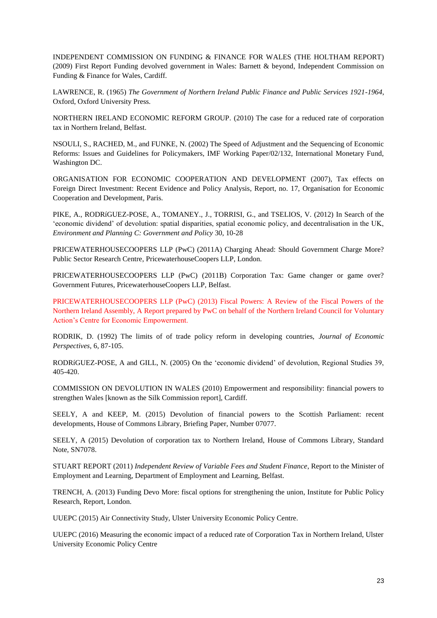INDEPENDENT COMMISSION ON FUNDING & FINANCE FOR WALES (THE HOLTHAM REPORT) (2009) First Report Funding devolved government in Wales: Barnett & beyond, Independent Commission on Funding & Finance for Wales, Cardiff.

LAWRENCE, R. (1965) *The Government of Northern Ireland Public Finance and Public Services 1921-1964*, Oxford, Oxford University Press.

NORTHERN IRELAND ECONOMIC REFORM GROUP. (2010) The case for a reduced rate of corporation tax in Northern Ireland, Belfast.

NSOULI, S., RACHED, M., and FUNKE, N. (2002) The Speed of Adjustment and the Sequencing of Economic Reforms: Issues and Guidelines for Policymakers, IMF Working Paper/02/132, International Monetary Fund, Washington DC.

ORGANISATION FOR ECONOMIC COOPERATION AND DEVELOPMENT (2007), Tax effects on Foreign Direct Investment: Recent Evidence and Policy Analysis, Report*,* no. 17, Organisation for Economic Cooperation and Development, Paris.

PIKE, A., RODRíGUEZ-POSE, A., TOMANEY., J., TORRISI, G., and TSELIOS, V. (2012) In Search of the 'economic dividend' of devolution: spatial disparities, spatial economic policy, and decentralisation in the UK, *Environment and Planning C: Government and Policy* 30, 10-28

PRICEWATERHOUSECOOPERS LLP (PwC) (2011A) Charging Ahead: Should Government Charge More? Public Sector Research Centre, PricewaterhouseCoopers LLP, London.

PRICEWATERHOUSECOOPERS LLP (PwC) (2011B) Corporation Tax: Game changer or game over? Government Futures, PricewaterhouseCoopers LLP, Belfast.

PRICEWATERHOUSECOOPERS LLP (PwC) (2013) Fiscal Powers: A Review of the Fiscal Powers of the Northern Ireland Assembly, A Report prepared by PwC on behalf of the Northern Ireland Council for Voluntary Action's Centre for Economic Empowerment.

RODRIK, D. (1992) The limits of of trade policy reform in developing countries, *Journal of Economic Perspectives*, 6, 87-105.

RODRíGUEZ-POSE, A and GILL, N. (2005) On the 'economic dividend' of devolution, Regional Studies 39, 405-420.

COMMISSION ON DEVOLUTION IN WALES (2010) Empowerment and responsibility: financial powers to strengthen Wales [known as the Silk Commission report], Cardiff.

SEELY, A and KEEP, M. (2015) Devolution of financial powers to the Scottish Parliament: recent developments, House of Commons Library, Briefing Paper, Number 07077.

SEELY, A (2015) Devolution of corporation tax to Northern Ireland, House of Commons Library, Standard Note, SN7078.

STUART REPORT (2011) *Independent Review of Variable Fees and Student Finance*, Report to the Minister of Employment and Learning, Department of Employment and Learning, Belfast.

TRENCH, A. (2013) Funding Devo More: fiscal options for strengthening the union, Institute for Public Policy Research, Report, London.

UUEPC (2015) Air Connectivity Study, Ulster University Economic Policy Centre.

UUEPC (2016) Measuring the economic impact of a reduced rate of Corporation Tax in Northern Ireland, Ulster University Economic Policy Centre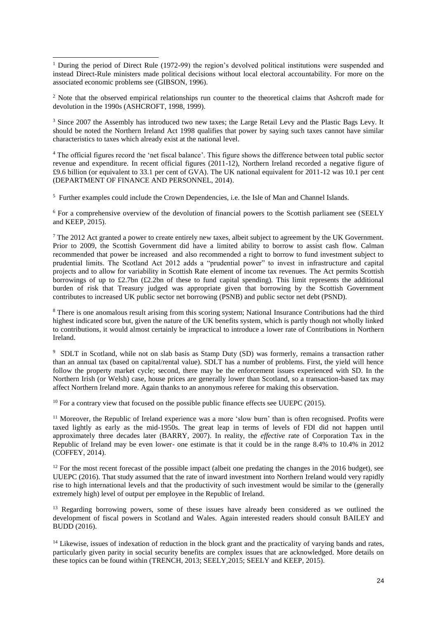-<sup>1</sup> During the period of Direct Rule (1972-99) the region's devolved political institutions were suspended and instead Direct-Rule ministers made political decisions without local electoral accountability. For more on the associated economic problems see (GIBSON, 1996).

<sup>2</sup> Note that the observed empirical relationships run counter to the theoretical claims that Ashcroft made for devolution in the 1990s (ASHCROFT, 1998, 1999).

<sup>3</sup> Since 2007 the Assembly has introduced two new taxes; the Large Retail Levy and the Plastic Bags Levy. It should be noted the Northern Ireland Act 1998 qualifies that power by saying such taxes cannot have similar characteristics to taxes which already exist at the national level.

<sup>4</sup> The official figures record the 'net fiscal balance'. This figure shows the difference between total public sector revenue and expenditure. In recent official figures (2011-12), Northern Ireland recorded a negative figure of £9.6 billion (or equivalent to 33.1 per cent of GVA). The UK national equivalent for 2011-12 was 10.1 per cent (DEPARTMENT OF FINANCE AND PERSONNEL, 2014).

<sup>5</sup> Further examples could include the Crown Dependencies, i.e. the Isle of Man and Channel Islands.

<sup>6</sup> For a comprehensive overview of the devolution of financial powers to the Scottish parliament see (SEELY and KEEP, 2015).

<sup>7</sup> The 2012 Act granted a power to create entirely new taxes, albeit subject to agreement by the UK Government. Prior to 2009, the Scottish Government did have a limited ability to borrow to assist cash flow. Calman recommended that power be increased and also recommended a right to borrow to fund investment subject to prudential limits. The Scotland Act 2012 adds a "prudential power" to invest in infrastructure and capital projects and to allow for variability in Scottish Rate element of income tax revenues. The Act permits Scottish borrowings of up to £2.7bn (£2.2bn of these to fund capital spending). This limit represents the additional burden of risk that Treasury judged was appropriate given that borrowing by the Scottish Government contributes to increased UK public sector net borrowing (PSNB) and public sector net debt (PSND).

<sup>8</sup> There is one anomalous result arising from this scoring system; National Insurance Contributions had the third highest indicated score but, given the nature of the UK benefits system, which is partly though not wholly linked to contributions, it would almost certainly be impractical to introduce a lower rate of Contributions in Northern Ireland.

<sup>9</sup> SDLT in Scotland, while not on slab basis as Stamp Duty (SD) was formerly, remains a transaction rather than an annual tax (based on capital/rental value). SDLT has a number of problems. First, the yield will hence follow the property market cycle; second, there may be the enforcement issues experienced with SD. In the Northern Irish (or Welsh) case, house prices are generally lower than Scotland, so a transaction-based tax may affect Northern Ireland more. Again thanks to an anonymous referee for making this observation.

<sup>10</sup> For a contrary view that focused on the possible public finance effects see UUEPC (2015).

<sup>11</sup> Moreover, the Republic of Ireland experience was a more 'slow burn' than is often recognised. Profits were taxed lightly as early as the mid-1950s. The great leap in terms of levels of FDI did not happen until approximately three decades later (BARRY, 2007). In reality, the *effective* rate of Corporation Tax in the Republic of Ireland may be even lower- one estimate is that it could be in the range 8.4% to 10.4% in 2012 (COFFEY, 2014).

 $12$  For the most recent forecast of the possible impact (albeit one predating the changes in the 2016 budget), see UUEPC (2016). That study assumed that the rate of inward investment into Northern Ireland would very rapidly rise to high international levels and that the productivity of such investment would be similar to the (generally extremely high) level of output per employee in the Republic of Ireland.

<sup>13</sup> Regarding borrowing powers, some of these issues have already been considered as we outlined the development of fiscal powers in Scotland and Wales. Again interested readers should consult BAILEY and BUDD (2016).

 $14$  Likewise, issues of indexation of reduction in the block grant and the practicality of varying bands and rates, particularly given parity in social security benefits are complex issues that are acknowledged. More details on these topics can be found within (TRENCH, 2013; SEELY, 2015; SEELY and KEEP, 2015).